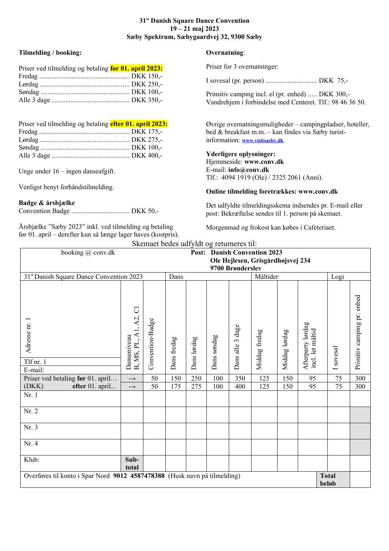### **31st Danish Square Dance Convention 19 – 21 maj 2023 Sæby Spektrum, Sæbygaardvej 32, 9300 Sæby**

# **Tilmelding / booking:**

| Priser ved tilmelding og betaling før 01. april 2023: | Priser for 3 overnatninger:                             |
|-------------------------------------------------------|---------------------------------------------------------|
|                                                       | I sovesal (pr. person)                                  |
|                                                       | Primitiv camping incl. el (<br>Vandrehjem i forbindelse |

| Priser ved tilmelding og betaling efter 01. april 2023: |  |
|---------------------------------------------------------|--|
|                                                         |  |
|                                                         |  |
|                                                         |  |
|                                                         |  |

Unge under 16 – ingen danseafgift.

Venligst benyt forhåndstilmelding.

### **Badge & årsbjælke**

Convention Badge .................................. DKK 50,-

Årsbjælke "Sæby 2023" inkl. ved tilmelding og betaling før 01. april – derefter kun så længe lager haves (kostpris).

## **Overnatning**:

I sovesal (pr. person) .............................. DKK 75,-

(pr. enhed) ..... DKK 300,med Centeret. Tlf.: 98 46 36 50.

Øvrige overnatningsmuligheder – campingpladser, hoteller, bed & breakfast m.m. – kan findes via Sæby turistinformation: **[www.visitsaeby.dk](http://www.visitsaeby.dk/)**

#### **Yderligere oplysninger:** Hjemmeside: **www.conv.dk** E-mail: **info@conv.dk** Tlf.:4094 1919 (Ole) / 2325 2061 (Anni).

### **Online tilmelding foretrækkes: www.conv.dk**

Det udfyldte tilmeldingsskema indsendes pr. E-mail eller post: Bekræftelse sendes til 1. person på skemaet.

Morgenmad og frokost kan købes i Cafeteriaet.

| Skemaet bedes udfyldt og returneres til:                                                           |                                          |                  |             |                                     |                                   |                  |               |               |                                       |                                     |                            |  |
|----------------------------------------------------------------------------------------------------|------------------------------------------|------------------|-------------|-------------------------------------|-----------------------------------|------------------|---------------|---------------|---------------------------------------|-------------------------------------|----------------------------|--|
| booking @ conv.dk                                                                                  |                                          |                  |             | <b>Post:</b> Danish Convention 2023 |                                   |                  |               |               |                                       |                                     |                            |  |
|                                                                                                    |                                          |                  |             |                                     | Ole Hejlesen, Grisgårdhøjsvej 234 |                  |               |               |                                       |                                     |                            |  |
| 9700 Brønderslev                                                                                   |                                          |                  |             |                                     |                                   |                  |               |               |                                       |                                     |                            |  |
| 31st Danish Square Dance Convention 2023                                                           | Dans                                     |                  |             |                                     | Måltider                          |                  |               |               |                                       | Logi                                |                            |  |
| Adresse nr.<br>Tlf nr. 1<br>E-mail:                                                                | A2, C1<br>Ę<br>Danseniveau<br>B, MS, PL, | Convention-Badge | Dans fredag | Dans lørdag                         | Dans søndag                       | Dans alle 3 dage | Middag fredag | Middag lørdag | Afterparty lørdag<br>incl. let måltid | sovesal<br>$\overline{\phantom{0}}$ | Primitiv camping pr. enhed |  |
| Priser ved betaling før 01. april                                                                  | $\longrightarrow$                        | 50               | 150         | 250                                 | 100                               | 350              | 125           | 150           | 95                                    | 75                                  | 300                        |  |
| (DKK)<br>efter 01. april                                                                           | $\longrightarrow$                        | 50               | 175         | 275                                 | 100                               | 400              | 125           | 150           | 95                                    | 75                                  | 300                        |  |
| Nr. 1                                                                                              |                                          |                  |             |                                     |                                   |                  |               |               |                                       |                                     |                            |  |
| Nr. 2                                                                                              |                                          |                  |             |                                     |                                   |                  |               |               |                                       |                                     |                            |  |
| Nr. 3                                                                                              |                                          |                  |             |                                     |                                   |                  |               |               |                                       |                                     |                            |  |
| Nr. 4                                                                                              |                                          |                  |             |                                     |                                   |                  |               |               |                                       |                                     |                            |  |
| Klub:                                                                                              | Sub-<br>total                            |                  |             |                                     |                                   |                  |               |               |                                       |                                     |                            |  |
| Overføres til konto i Spar Nord 9012 4587478388 (Husk navn på tilmelding)<br><b>Total</b><br>beløb |                                          |                  |             |                                     |                                   |                  |               |               |                                       |                                     |                            |  |